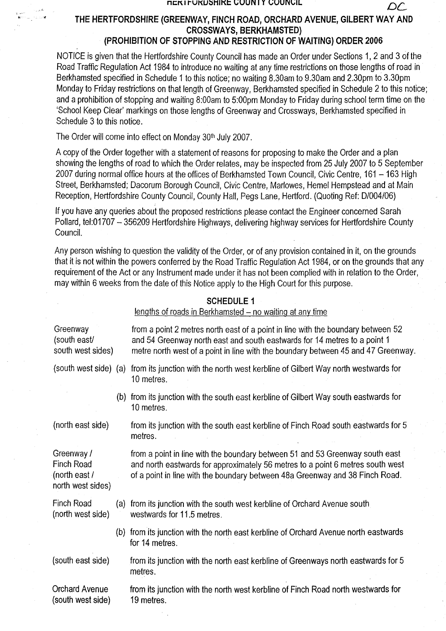### **NCKIFUKUSHIKE COUNTY COUNCIL**

THE HERTFORDSHIRE (GREENWAY, FINCH ROAD, ORCHARD AVENUE, GILBERT WAY AND CROSSWAYS, BERKHAMSTED) (PROHIBITION OF STOPPING AND RESTRICTION OF WAITING) ORDER 2006

 $\mathcal{D}\mathcal{L}$ 

NOTICE is given that the Hertfordshire County Council has made an Order under Sections 1, 2 and 3 of the Road Traffic Regulation Act 1984 to introduce no waiting at any time restrictions on those lengths of road in Berkhamsted specified in Schedule 1 to this notice; no waiting 8.30am to 9.30am and 2.30pm to 3.30pm Monday to Friday restrictions on that length of Greenway, Berkhamsted specified in Schedule 2 to this notice; and a prohibition of stopping and waiting 8:00am to 5:00pm Monday to Friday during school term time on the `School Keep Clear' markings on those lengths of Greenway and Crossways, Berkhamsted specified in Schedule 3 to this notice.

The Order will come into effect on Monday 30th July 2007.

A copy of the Order together with a statement of reasons for proposing to make the Order and a plan showing the lengths of road to which the Order relates, may be inspected from 25 July 2007 to 5 September 2007 during normal office hours at the offices of Berkhamsted Town Council, Civic Centre, 161 - 163 High Street, Berkhamsted; Dacorum Borough Council, Civic Centre, Marlowes, Hemel Hempstead and at Main Reception, Hertfordshire County Council, County Hall, Pegs Lane, Hertford. (Quoting Ref: D/004/06)

If you have any queries about the proposed restrictions please contact the Engineer concerned Sarah Pollard, tel:01707 - 356209 Hertfordshire Highways, delivering highway services for Hertfordshire County Council.

Any person wishing to question the validity of the Order, or of any provision contained in it, on the grounds that it is not within the powers conferred by the Road Traffic Regulation Act 1984, or on the grounds that any requirement of the Act or any Instrument made under it has not been complied with in relation to the Order, may within 6 weeks from the date of this Notice apply to the High Court for this purpose.

# SCHEDULE I

lengths of roads in Berkhamsted  $-$  no waiting at any time

| Greenway<br>(south east/<br>south west sides)                  |     | from a point 2 metres north east of a point in line with the boundary between 52<br>and 54 Greenway north east and south eastwards for 14 metres to a point 1<br>metre north west of a point in line with the boundary between 45 and 47 Greenway |
|----------------------------------------------------------------|-----|---------------------------------------------------------------------------------------------------------------------------------------------------------------------------------------------------------------------------------------------------|
| (south west side) (a)                                          |     | from its junction with the north west kerbline of Gilbert Way north westwards for<br>10 metres.                                                                                                                                                   |
|                                                                |     | (b) from its junction with the south east kerbline of Gilbert Way south eastwards for<br>10 metres.                                                                                                                                               |
| (north east side)                                              |     | from its junction with the south east kerbline of Finch Road south eastwards for 5<br>metres.                                                                                                                                                     |
| Greenway /<br>Finch Road<br>(north east /<br>north west sides) |     | from a point in line with the boundary between 51 and 53 Greenway south east<br>and north eastwards for approximately 56 metres to a point 6 metres south west<br>of a point in line with the boundary between 48a Greenway and 38 Finch Road.    |
| Finch Road<br>(north west side)                                | (a) | from its junction with the south west kerbline of Orchard Avenue south<br>westwards for 11.5 metres.                                                                                                                                              |
|                                                                |     | (b) from its junction with the north east kerbline of Orchard Avenue north eastwards<br>for 14 metres.                                                                                                                                            |
| (south east side)                                              |     | from its junction with the north east kerbline of Greenways north eastwards for 5<br>metres.                                                                                                                                                      |
| <b>Orchard Avenue</b><br>(south west side)                     |     | from its junction with the north west kerbline of Finch Road north westwards for<br>19 metres.                                                                                                                                                    |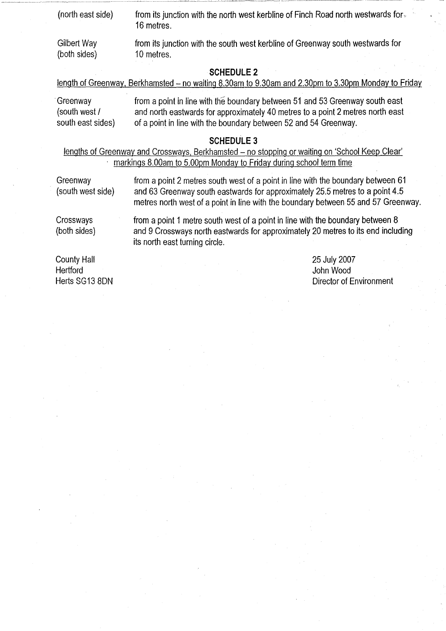| (north east side)           | from its junction with the north west kerbline of Finch Road north westwards for $\sim$<br>16 metres. |  |  |  |
|-----------------------------|-------------------------------------------------------------------------------------------------------|--|--|--|
| Gilbert Way<br>(both sides) | from its junction with the south west kerbline of Greenway south westwards for<br>10 metres.          |  |  |  |
|                             |                                                                                                       |  |  |  |

# **SCHEDULE 2**

| <u>length of Greenway, Berkhamsted – no waiting 8.30am to 9.30am and 2.30pm to 3.30pm Monday to Friday</u> |  |  |  |
|------------------------------------------------------------------------------------------------------------|--|--|--|
|                                                                                                            |  |  |  |

**Greenway from a point in line with the boundary between 51 and 53 Greenway south east (south west** / **and north eastwards for approximately 40 metres to a point 2 metres north east south east sides**) **of a point in line with the boundary between 52 and 54 Greenway.**

# **SCHEDULE3**

**lengths of Greenway and Crossways** , **Berkhamsted - no stopping or waiting on** `**School Keep Clear' markings 8** .**00am to 5.00pm Monday to Friday during school term time**

**Greenway from a point 2 metres south west of a point in line with the boundary between 61 (south west side** ) **and 63 Greenway south eastwards for approximately 25.5 metres to a point 4.5 metres north west of a point in line with the boundary between 55 and 57 Greenway.**

**Crossways from a point 1 metre south west of a point in line with the boundary between 8 (both sides** ) **and 9 Crossways north eastwards for approximately 20 metres to its end including its north east turning circle.**

**County Hall 25 July 2007 Hertford John Wood**

**Herts SG13 8DN Director of Environment**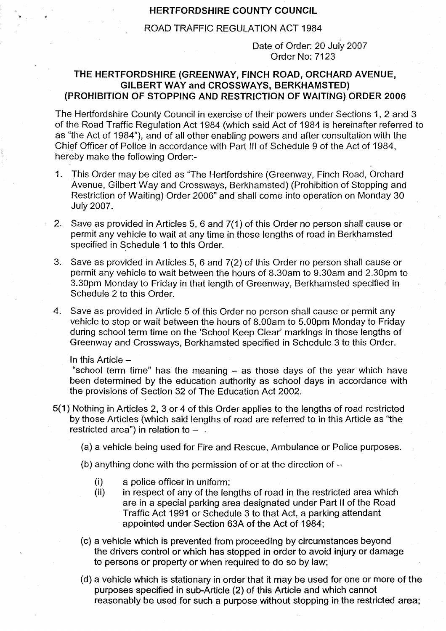## HERTFORDSHIRE COUNTY COUNCIL

# ROAD TRAFFIC REGULATION ACT 1984

Date of Order: 20 July 2007 Order No: 7123

# THE HERTFORDSHIRE (GREENWAY, FINCH ROAD, ORCHARD AVENUE, GILBERT WAY and CROSSWAYS, BERKHAMSTED) (PROHIBITION OF STOPPING AND RESTRICTION OF WAITING) ORDER 2006

The Hertfordshire County Council in exercise of their powers under Sections 1, 2 and 3 of the Road Traffic Regulation Act 1984 (which said Act of 1984 is hereinafter referred to as "the Act of 1984"), and of all other enabling powers and after consultation with the Chief Officer of Police in accordance with Part III of Schedule 9 of the Act of 1984, hereby make the following Order:-

- 1. This Order may be cited as "The Hertfordshire (Greenway, Finch Road, Orchard Avenue, Gilbert Way and Crossways, Berkhamsted) (Prohibition of Stopping and Restriction of Waiting) Order 2006" and shall come into operation on Monday 30 July 2007.
- 2. Save as provided in Articles 5, 6 and 7(1) of this Order no person shall cause or permit any vehicle to wait at any time in those lengths of road in Berkhamsted specified in Schedule 1 to this Order.
- 3. Save as provided in Articles 5, 6 and 7(2) of this Order no person shall cause or permit any vehicle to wait between the hours of 8.30am to 9.30am and 2.30pm to 3.30pm Monday to Friday in that length of Greenway, Berkhamsted specified in Schedule 2 to this Order.
- 4. Save as provided in Article 5 of this Order no person shall cause or permit any vehicle to stop or wait between the hours of 8.00am to 5.00pm Monday to Friday during school term time on the 'School Keep Clear' markings in those lengths of Greenway and Crossways, Berkhamsted specified in Schedule 3 to this Order.

In this Article  $-$ 

"school term time" has the meaning - as those days of the year which have been determined by the education authority as school days in accordance with the provisions of Section 32 of The Education Act 2002.

- 5(1) Nothing in Articles 2, 3 or 4 of this Order applies to the lengths of road restricted by those Articles (which said lengths of road are referred to in this Article as "the restricted area") in relation to  $-$ 
	- (a) a vehicle being used for Fire and Rescue, Ambulance or Police purposes.
	- (b) anything done with the permission of or at the direction of  $-$ 
		- (i) a police officer in uniform;
		- (ii) in respect of any of the lengths of road in the restricted area which are in a special parking area designated under Part II of the Road Traffic Act 1991 or Schedule 3 to that Act, a parking attendant appointed under Section 63A of the Act of 1984;
	- (c) a vehicle which is prevented from proceeding by circumstances beyond the drivers control or which has stopped in order to avoid injury or damage to persons or property or when required to do so by law;
	- (d) a vehicle which is stationary in order that it may be used for one or more of the purposes specified in sub-Article (2) of this Article and which cannot reasonably be used for such a purpose without stopping in the restricted area;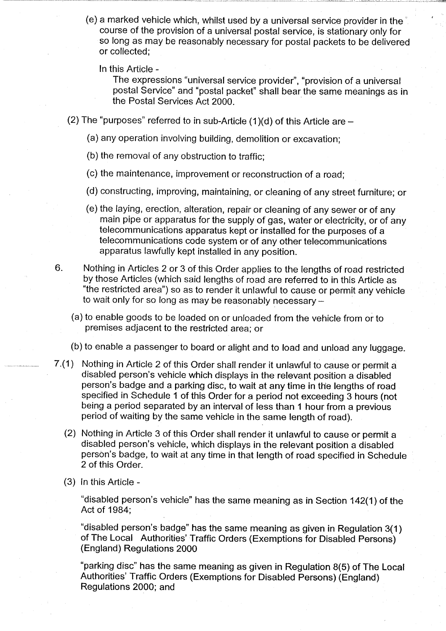- (e) a marked vehicle which, whilst used by a universal service provider in the course of the provision of a universal postal service, is stationary only for so long as may be reasonably necessary for postal packets to be delivered or collected;
	- In this Article -

The expressions "universal service provider", "provision of a universal postal Service" and "postal packet" shall bear the same meanings as in the Postal Services Act 2000.

- (2) The "purposes" referred to in sub-Article  $(1)(d)$  of this Article are  $-$ 
	- (a) any operation involving building, demolition or excavation;
	- (b) the removal of any obstruction to traffic;
	- (c) the maintenance, improvement or reconstruction of a road;
	- (d) constructing, improving, maintaining, or cleaning of any street furniture; or
	- (e) the laying, erection, alteration, repair or cleaning of any sewer or of any main pipe or apparatus for the supply of gas, water or electricity, or of any telecommunications apparatus kept or installed for the purposes of a telecommunications code system or of any other telecommunications apparatus lawfully kept installed in any position.
- 6. Nothing in Articles 2 or 3 of this Order applies to the lengths of road restricted by those Articles (which said lengths of road are referred to in this Article as "the restricted area") so as to render it unlawful to cause or permit any vehicle to wait only for so long as may be reasonably necessary -
	- (a) to enable goods to be loaded on or unloaded from the vehicle from or to premises adjacent to the restricted area; or
	- (b) to enable a passenger to board or alight and to load and unload any **luggage.**
- 7.(1) Nothing in Article 2 of this Order shall render it unlawful to cause or permit a disabled person's vehicle which displays in the relevant position a disabled person's badge and a parking disc, to wait at any time in the lengths of road specified in Schedule 1 of this Order for a period not exceeding 3 hours (not being a period separated by an interval of less than 1 hour from a previous period of waiting by the same vehicle in the same length of road).
	- (2) Nothing in Article 3 of this Order shall render it unlawful to cause or permit a disabled person's vehicle, which displays in the relevant position a disabled person's badge, to wait at any time in that length of road specified in Schedule 2 of this Order.
	- (3) In this Article -

"disabled person's vehicle" has the same **meaning as** in Section 142(1) of the Act of 1984;

"disabled person's badge" **has the same meaning** as given in Regulation 3(1) of The Local Authorities' Traffic Orders (Exemptions for Disabled Persons) **(England** ) Regulations 2000

"parking disc" has the same **meaning as** given in Regulation 8(5) of The Local Authorities' Traffic Orders (Exemptions for Disabled **Persons) (England) Regulations** 2000; and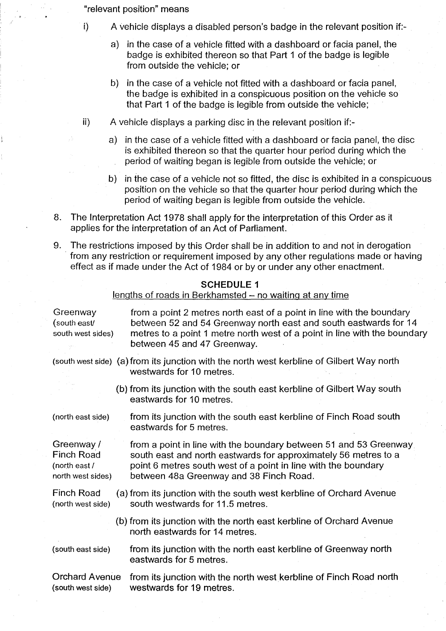"relevant position" means

- i) A vehicle displays a disabled person's badge in the relevant position if:
	- a) in the case of a vehicle fitted with a dashboard or facia panel, the badge is exhibited thereon so that Part 1 of the badge is legible from outside the vehicle; or
	- b) in the case of a vehicle not fitted with a dashboard or facia panel, the badge is exhibited in a conspicuous position on the vehicle so that Part 1 of the badge is legible from outside the vehicle;
- ii) A vehicle displays a parking disc in the relevant position if:
	- a) in the case of a vehicle fitted with a dashboard or facia panel, the disc is exhibited thereon so that the quarter hour period during which the period of waiting began is legible from outside the vehicle; or
	- b) in the case of a vehicle not so fitted, the disc is exhibited in a conspicuous position on the vehicle so that the quarter hour period during which the period of waiting began is legible from outside the vehicle.
- 8. The Interpretation Act 1978 shall apply for the interpretation of this Order as it applies for the interpretation of an Act of Parliament.
- 9. The restrictions imposed by this Order shall be in addition to and not in derogation from any restriction or requirement imposed by any other regulations made or having effect as if made under the Act of 1984 or by or under any other enactment.

**SCHEDULE 1**

|                                                                       |  | lengths of roads in Berkhamsted - no waiting at any time                                                                                                                                                                                              |
|-----------------------------------------------------------------------|--|-------------------------------------------------------------------------------------------------------------------------------------------------------------------------------------------------------------------------------------------------------|
| Greenway<br>(south east/<br>south west sides)                         |  | from a point 2 metres north east of a point in line with the boundary<br>between 52 and 54 Greenway north east and south eastwards for 14<br>metres to a point 1 metre north west of a point in line with the boundary<br>between 45 and 47 Greenway. |
|                                                                       |  | (south west side) (a) from its junction with the north west kerbline of Gilbert Way north<br>westwards for 10 metres.                                                                                                                                 |
|                                                                       |  | (b) from its junction with the south east kerbline of Gilbert Way south<br>eastwards for 10 metres.                                                                                                                                                   |
| (north east side)                                                     |  | from its junction with the south east kerbline of Finch Road south<br>eastwards for 5 metres.                                                                                                                                                         |
| Greenway /<br><b>Finch Road</b><br>(north east /<br>north west sides) |  | from a point in line with the boundary between 51 and 53 Greenway<br>south east and north eastwards for approximately 56 metres to a<br>point 6 metres south west of a point in line with the boundary<br>between 48a Greenway and 38 Finch Road.     |
| <b>Finch Road</b><br>(north west side)                                |  | (a) from its junction with the south west kerbline of Orchard Avenue<br>south westwards for 11.5 metres.                                                                                                                                              |
|                                                                       |  | (b) from its junction with the north east kerbline of Orchard Avenue<br>north eastwards for 14 metres.                                                                                                                                                |
| (south east side)                                                     |  | from its junction with the north east kerbline of Greenway north<br>eastwards for 5 metres.                                                                                                                                                           |
| <b>Orchard Avenue</b><br>(south west side)                            |  | from its junction with the north west kerbline of Finch Road north<br>westwards for 19 metres.                                                                                                                                                        |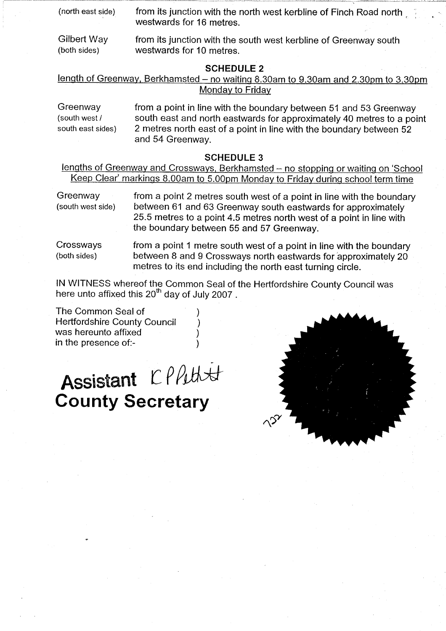| (north east side) | from its junction with the north west kerbline of Finch Road north |  |  |  |
|-------------------|--------------------------------------------------------------------|--|--|--|
|                   | westwards for 16 metres.                                           |  |  |  |

**Gilbert Way from its junction with the south west kerbline of Greenway south** (**both sides** ) **westwards for 10 metres.**

## **SCHEDULE 2**

length of Greenway, Berkhamsted - no waiting 8.30am to 9.30am and 2.30pm to 3.30pm **Monday to Friday**

**Greenway from a point in line with the boundary between 51 and 53 Greenway** (**south west / south east and north eastwards for approximately 40 metres to a point south east sides) 2 metres north east of a point in line with the boundary between 52 and 54 Greenway.**

# **SCHEDULE 3**

**lengths of Greenway and Crossways** , **Berkhamsted** - **no stopping or waiting on** `**School Keep Clear**' **markings 8** . **00am to 5** . **00pm Monday to Friday during school term time**

**Greenway from a point 2 metres south west of a point in line with the boundary (south west side) between 61 and 63 Greenway south eastwards for approximately 25.5 metres to a point 4.5 metres north west of a point in line with the boundary between 55 and 57 Greenway.**

**Crossways from a point 1 metre south west of a point in line with the boundary (both sides** ) **between 8 and 9 Crossways north eastwards for approximately 20 metres to its end including the north east turning circle.**

**IN WITNESS whereof the Common Seal of the Hertfordshire County Council was** here unto affixed this 20<sup>th</sup> day of July 2007.

**The Common Seal of ) Hertfordshire County Council ) was hereunto affixed ) in the presence of:- )**

# Assistant CPPutt **County Secretary**

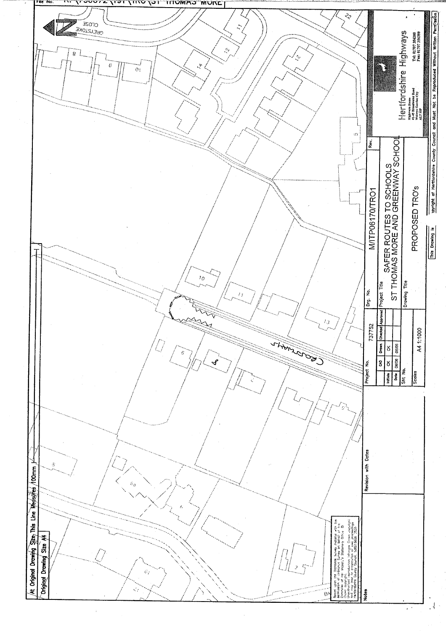